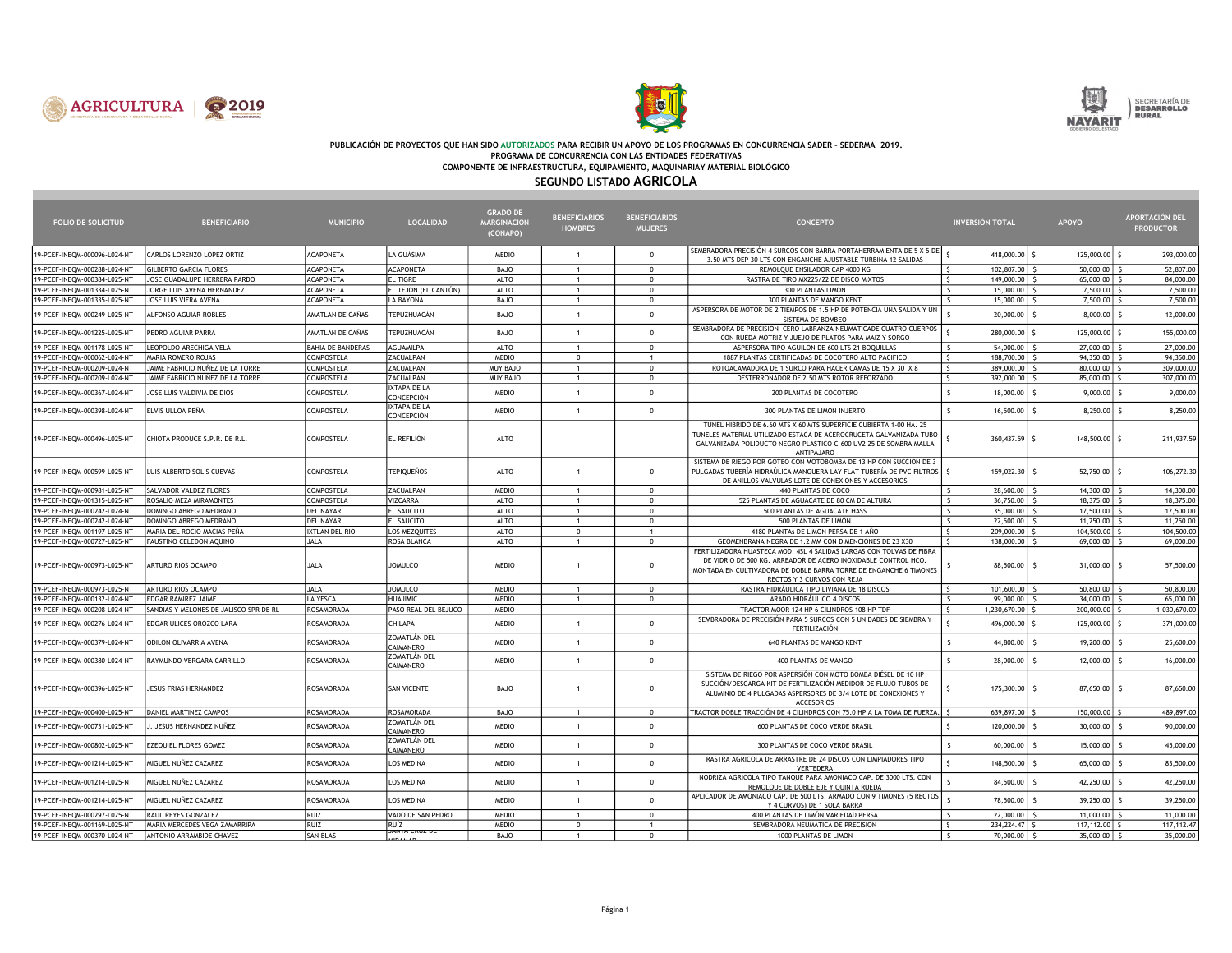





# PUBLICACIÓN DE PROYECTOS QUE HAN SIDO AUTORIZADOS PARA RECIBIR UN APOYO DE LOS PROGRAMAS EN CONCURRENCIA SADER - SEDERMA 2019.<br>PROGRAMA DE CONCURRENCIA CON LAS ENTIDADES FEDERATIVAS

COMPONENTE DE INFRAESTRUCTURA, EQUIPAMIENTO, MAQUINARIAY MATERIAL BIOLÓGICO

### SEGUNDO LISTADO AGRICOLA

| <b>FOLIO DE SOLICITUD</b>    | <b>BENEFICIARIO</b>                    | <b>MUNICIPIO</b>         | <b>LOCALIDAD</b>                  | <b>GRADO DE</b><br>MARGINACIÓN<br>(CONAPO) | <b>BENEFICIARIOS</b><br><b>HOMBRES</b> | <b>BENEFICIARIOS</b><br><b>MUJERES</b> | <b>CONCEPTO</b>                                                                                                                                                                                                                           | <b>INVERSIÓN TOTAL</b>                               | <b>APOYO</b>   | <b>APORTACIÓN DEL</b><br><b>PRODUCTOR</b> |
|------------------------------|----------------------------------------|--------------------------|-----------------------------------|--------------------------------------------|----------------------------------------|----------------------------------------|-------------------------------------------------------------------------------------------------------------------------------------------------------------------------------------------------------------------------------------------|------------------------------------------------------|----------------|-------------------------------------------|
| 19-PCEF-INEQM-000096-L024-NT | CARLOS LORENZO LOPEZ ORTIZ             | <b>ACAPONETA</b>         | LA GUÁSIMA                        | MEDIO                                      |                                        | $\Omega$                               | SEMBRADORA PRECISIÓN 4 SURCOS CON BARRA PORTAHERRAMIENTA DE 5 X 5 DE<br>3.50 MTS DEP 30 LTS CON ENGANCHE AJUSTABLE TURBINA 12 SALIDAS                                                                                                     | 418,000.00 \$                                        | 125,000.00 \$  | 293,000.00                                |
| 19-PCEF-INEQM-000288-L024-NT | <b>GILBERTO GARCIA FLORES</b>          | <b>ACAPONETA</b>         | <b>ACAPONETA</b>                  | BAJO                                       | $\overline{1}$                         | $\Omega$                               | REMOLOUE ENSILADOR CAP 4000 KG                                                                                                                                                                                                            | 102.807.00<br>l s                                    | 50,000.00      | 52,807.00                                 |
| 19-PCEF-INEQM-000384-L025-NT | JOSE GUADALUPE HERRERA PARDO           | <b>ACAPONETA</b>         | <b>EL TIGRE</b>                   | <b>ALTO</b>                                | $\mathbf{1}$                           | $^{\circ}$                             | RASTRA DE TIRO MX225/22 DE DISCO MIXTOS                                                                                                                                                                                                   | ls.<br>149,000.00 \$                                 | 65,000.00 \$   | 84,000.00                                 |
| 19-PCEF-INEQM-001334-L025-NT | JORGE LUIS AVENA HERNANDEZ             | <b>ACAPONETA</b>         | EL TEJÓN (EL CANTÓN)              | <b>ALTO</b>                                | $\mathbf{1}$                           | $\Omega$                               | 300 PLANTAS LIMÓN                                                                                                                                                                                                                         | $\zeta$<br>15,000.00                                 | 7,500.00       | 7,500.00                                  |
| 19-PCEF-INEQM-001335-L025-NT | JOSE LUIS VIERA AVENA                  | <b>ACAPONETA</b>         | <b>LA BAYONA</b>                  | BAJO                                       | $\mathbf{1}$                           | $^{\circ}$                             | 300 PLANTAS DE MANGO KENT                                                                                                                                                                                                                 | S.<br>$15,000.00$ $\frac{1}{5}$                      | $7,500.00$ \$  | 7,500.00                                  |
| 19-PCEF-INEQM-000249-L025-NT | ALFONSO AGUIAR ROBLES                  | AMATLAN DE CAÑAS         | TEPUZHUACÁN                       | BAJO                                       |                                        | $\Omega$                               | ASPERSORA DE MOTOR DE 2 TIEMPOS DE 1.5 HP DE POTENCIA UNA SALIDA Y UN<br>SISTEMA DE BOMBEO                                                                                                                                                | 20,000.00                                            | 8,000.00       | 12,000.00                                 |
| 19-PCEF-INEQM-001225-L025-NT | PEDRO AGUIAR PARRA                     | AMATLAN DE CAÑAS         | TEPUZHUACÁN                       | BAJO                                       | $\overline{1}$                         | $\Omega$                               | SEMBRADORA DE PRECISION CERO LABRANZA NEUMATICADE CUATRO CUERPOS<br>CON RUEDA MOTRIZ Y JUEJO DE PLATOS PARA MAIZ Y SORGO                                                                                                                  | 280,000.00 \$                                        | 125,000.00 \$  | 155,000.00                                |
| 19-PCEF-INEQM-001178-L025-NT | LEOPOLDO ARECHIGA VELA                 | <b>BAHIA DE BANDERAS</b> | AGUAMILPA                         | ALTO                                       | $\mathbf{1}$                           | $\Omega$                               | ASPERSORA TIPO AGUILON DE 600 LTS 21 BOQUILLAS                                                                                                                                                                                            | $\mathsf{S}$<br>54,000.00                            | 27,000.00      | 27,000.00                                 |
| 19-PCEF-INEQM-000062-L024-NT | MARIA ROMERO ROJAS                     | COMPOSTELA               | ZACUALPAN                         | <b>MEDIO</b>                               | $\mathbf{0}$                           | $\mathbf{1}$                           | 1887 PLANTAS CERTIFICADAS DE COCOTERO ALTO PACIFICO                                                                                                                                                                                       | $\mathsf{S}$<br>188,700.00 \$                        | $94,350.00$ \$ | 94,350.00                                 |
| 19-PCEF-INEQM-000209-L024-NT | JAIME FABRICIO NUÑEZ DE LA TORRE       | COMPOSTELA               | ZACUALPAN                         | MUY BAJO                                   | $\overline{1}$                         | $\mathbf{0}$                           | ROTOACAMADORA DE 1 SURCO PARA HACER CAMAS DE 15 X 30 X 8                                                                                                                                                                                  | ls.<br>389,000.00 \$                                 | 80,000.00 S    | 309,000.00                                |
| 19-PCEF-INEQM-000209-L024-NT | JAIME FABRICIO NUÑEZ DE LA TORRE       | COMPOSTELA               | ZACUALPAN                         | <b>MUY BAJO</b>                            | $\overline{1}$                         | $\Omega$                               | DESTERRONADOR DE 2.50 MTS ROTOR REFORZADO                                                                                                                                                                                                 | $\overline{\mathsf{s}}$<br>392,000.00 \$             | 85,000.00 S    | 307,000.00                                |
| 19-PCEF-INEQM-000367-L024-NT | JOSE LUIS VALDIVIA DE DIOS             | COMPOSTELA               | IXTAPA DE LA<br>CONCEPCIÓN        | <b>MEDIO</b>                               | $\mathbf{1}$                           | $\Omega$                               | 200 PLANTAS DE COCOTERO                                                                                                                                                                                                                   | 18,000.00                                            | 9,000.00       | 9,000.00                                  |
| 19-PCEF-INEQM-000398-L024-NT | ELVIS ULLOA PEÑA                       | COMPOSTELA               | <b>IXTAPA DE LA</b><br>CONCEPCIÓN | <b>MEDIO</b>                               | $\mathbf{1}$                           | $\mathbf 0$                            | 300 PLANTAS DE LIMON INJERTO                                                                                                                                                                                                              | $16,500.00$ \$                                       | $8,250.00$ \$  | 8,250.00                                  |
| 19-PCEF-INEQM-000496-L025-NT | CHIOTA PRODUCE S.P.R. DE R.L.          | COMPOSTELA               | EL REFILIÓN                       | ALTO                                       |                                        |                                        | TUNEL HIBRIDO DE 6.60 MTS X 60 MTS SUPERFICIE CUBIERTA 1-00 HA. 25<br>TUNELES MATERIAL UTILIZADO ESTACA DE ACEROCRUCETA GALVANIZADA TUBO<br>GALVANIZADA POLIDUCTO NEGRO PLASTICO C-600 UV2 25 DE SOMBRA MALLA<br>ANTIPAJARO               | 360,437.59 \$                                        | 148,500.00 \$  | 211,937.59                                |
| 19-PCEF-INEQM-000599-L025-NT | LUIS ALBERTO SOLIS CUEVAS              | COMPOSTELA               | <b>TEPIQUEÑOS</b>                 | ALTO                                       | $\overline{1}$                         | $\Omega$                               | SISTEMA DE RIEGO POR GOTEO CON MOTOBOMBA DE 13 HP CON SUCCION DE 3<br>PULGADAS TUBERÍA HIDRAÚLICA MANGUERA LAY FLAT TUBERÍA DE PVC FILTROS   \$<br>DE ANILLOS VALVULAS LOTE DE CONEXIONES Y ACCESORIOS                                    | 159,022.30 \$                                        | $52,750.00$ \$ | 106,272.30                                |
| 19-PCEF-INEQM-000981-L025-NT | SALVADOR VALDEZ FLORES                 | COMPOSTELA               | ZACUALPAN                         | <b>MEDIO</b>                               | $\mathbf{1}$                           | $\Omega$                               | 440 PLANTAS DE COCO                                                                                                                                                                                                                       | 28,600.00<br>$\zeta$                                 | $14,300.00$ \$ | 14,300.00                                 |
| 19-PCEF-INEQM-001315-L025-NT | ROSALIO MEZA MIRAMONTES                | COMPOSTELA               | VIZCARRA                          | ALTO                                       | $\overline{1}$                         | $\mathbf{0}$                           | 525 PLANTAS DE AGUACATE DE 80 CM DE ALTURA                                                                                                                                                                                                | ls.<br>$36,750.00$ $\frac{1}{5}$                     | 18,375.00 \$   | 18,375.00                                 |
| 19-PCEF-INEQM-000242-L024-NT | DOMINGO ABREGO MEDRANO                 | <b>DEL NAYAR</b>         | EL SAUCITO                        | <b>ALTO</b>                                | $\mathbf{1}$                           | $\Omega$                               | 500 PLANTAS DE AGUACATE HASS                                                                                                                                                                                                              | $\overline{\mathsf{S}}$<br>$35,000.00$ $\frac{1}{5}$ | 17,500.00 \$   | 17,500.00                                 |
| 19-PCEF-INEQM-000242-L024-NT | DOMINGO ABREGO MEDRANO                 | <b>DEL NAYAR</b>         | EL SAUCITO                        | <b>ALTO</b>                                | $\mathbf{1}$                           | $\mathbf{0}$                           | 500 PLANTAS DE LIMÓN                                                                                                                                                                                                                      | $\mathsf{S}$<br>22,500,00 S                          | $11,250.00$ \$ | 11,250.00                                 |
| 19-PCEF-INEQM-001197-L025-NT | MARIA DEL ROCIO MACIAS PEÑA            | <b>IXTLAN DEL RIO</b>    | LOS MEZQUITES                     | <b>ALTO</b>                                | $^{\circ}$                             |                                        | 4180 PLANTAs DE LIMON PERSA DE 1 AÑO                                                                                                                                                                                                      | -S<br>209,000.00                                     | 104,500.00     | 104,500.00                                |
| 19-PCEF-INEQM-000727-L025-NT | FAUSTINO CELEDON AQUINO                | JALA                     | ROSA BLANCA                       | <b>ALTO</b>                                | $\mathbf{1}$                           | $\Omega$                               | GEOMENBRANA NEGRA DE 1.2 MM CON DIMENCIONES DE 23 X30                                                                                                                                                                                     | $\hat{\varsigma}$<br>138,000.00 \$                   | $69,000.00$ \$ | 69,000.00                                 |
| 19-PCEF-INEQM-000973-L025-NT | ARTURO RIOS OCAMPO                     | JALA                     | <b>JOMULCO</b>                    | <b>MEDIO</b>                               |                                        | $\Omega$                               | FERTILIZADORA HUASTECA MOD. 4SL 4 SALIDAS LARGAS CON TOLVAS DE FIBRA<br>DE VIDRIO DE 500 KG. ARREADOR DE ACERO INOXIDABLE CONTROL HCO.<br>MONTADA EN CULTIVADORA DE DOBLE BARRA TORRE DE ENGANCHE 6 TIMONES<br>RECTOS Y 3 CURVOS CON REJA | 88,500.00 \$                                         | $31,000.00$ \$ | 57,500.00                                 |
| 19-PCEF-INEQM-000973-L025-NT | ARTURO RIOS OCAMPO                     | JALA                     | <b>JOMULCO</b>                    | <b>MEDIO</b>                               | $\mathbf{1}$                           | $^{\circ}$                             | RASTRA HIDRÁULICA TIPO LIVIANA DE 18 DISCOS                                                                                                                                                                                               | 101,600.00 \$<br><sup>S</sup>                        | $50,800.00$ \$ | 50,800.00                                 |
| 19-PCEF-INEQM-000132-L024-NT | EDGAR RAMIREZ JAIME                    | LA YESCA                 | <b>HUAJIMIC</b>                   | <b>MEDIO</b>                               | 1                                      | $\Omega$                               | ARADO HIDRÁULICO 4 DISCOS                                                                                                                                                                                                                 | $\mathsf{S}$<br>$99,000.00$ \$                       | $34,000.00$ \$ | 65,000.00                                 |
| 19-PCEF-INEQM-000208-L024-NT | SANDIAS Y MELONES DE JALISCO SPR DE RL | <b>ROSAMORADA</b>        | PASO REAL DEL BEJUCO              | <b>MEDIO</b>                               |                                        |                                        | TRACTOR MOOR 124 HP 6 CILINDROS 108 HP TDF                                                                                                                                                                                                | S.<br>1,230,670.00 \$                                | 200,000.00 \$  | 1,030,670.00                              |
| 19-PCEF-INEQM-000276-L024-NT | EDGAR ULICES OROZCO LARA               | ROSAMORADA               | <b>CHILAPA</b>                    | <b>MEDIO</b>                               | $\overline{1}$                         | $\Omega$                               | SEMBRADORA DE PRECISIÓN PARA 5 SURCOS CON 5 UNIDADES DE SIEMBRA Y<br><b>FERTILIZACIÓN</b>                                                                                                                                                 | 496,000.00 \$                                        | 125,000.00 \$  | 371,000.00                                |
| 19-PCEF-INEQM-000379-L024-NT | ODILON OLIVARRIA AVENA                 | ROSAMORADA               | ZOMATLÁN DEL<br>CAIMANERO         | <b>MEDIO</b>                               | $\mathbf{1}$                           | $\Omega$                               | 640 PLANTAS DE MANGO KENT                                                                                                                                                                                                                 | 44,800.00 \$                                         | 19,200.00 \$   | 25,600.00                                 |
| 19-PCEF-INEQM-000380-L024-NT | RAYMUNDO VERGARA CARRILLO              | ROSAMORADA               | ZOMATLÁN DEL<br>CAIMANERO         | <b>MEDIO</b>                               | $\mathbf{1}$                           | $\Omega$                               | 400 PLANTAS DE MANGO                                                                                                                                                                                                                      | 28,000.00                                            | 12,000.00      | 16,000.00                                 |
| 19-PCEF-INEQM-000396-L025-NT | JESUS FRIAS HERNANDEZ                  | ROSAMORADA               | SAN VICENTE                       | BAJO                                       | $\overline{1}$                         | $\Omega$                               | SISTEMA DE RIEGO POR ASPERSIÓN CON MOTO BOMBA DIÉSEL DE 10 HP<br>SUCCIÓN/DESCARGA KIT DE FERTILIZACIÓN MEDIDOR DE FLUJO TUBOS DE<br>ALUMINIO DE 4 PULGADAS ASPERSORES DE 3/4 LOTE DE CONEXIONES Y<br><b>ACCESORIOS</b>                    | 175,300.00 \$                                        | 87,650.00 \$   | 87,650.00                                 |
| 19-PCEF-INEQM-000400-L025-NT | DANIEL MARTINEZ CAMPOS                 | ROSAMORADA               | <b>ROSAMORADA</b>                 | BAJO                                       | $\mathbf{1}$                           | $\mathbf{0}$                           | TRACTOR DOBLE TRACCIÓN DE 4 CILINDROS CON 75.0 HP A LA TOMA DE FUERZA. S                                                                                                                                                                  | 639,897.00 \$                                        | 150,000.00 \$  | 489,897.00                                |
| 19-PCEF-INEQM-000731-L025-NT | . JESUS HERNANDEZ NUÑEZ                | ROSAMORADA               | ZOMATLÁN DEL<br>CAIMANERO         | <b>MEDIO</b>                               | $\mathbf{1}$                           | $\Omega$                               | 600 PLANTAS DE COCO VERDE BRASIL                                                                                                                                                                                                          | $\mathsf{S}$<br>120,000.00                           | $30,000.00$ \$ | 90,000.00                                 |
| 19-PCEF-INEQM-000802-L025-NT | EZEQUIEL FLORES GOMEZ                  | ROSAMORADA               | ZOMATLÁN DEL<br>CAIMANERO         | MEDIO                                      | $\mathbf{1}$                           | $^{\circ}$                             | 300 PLANTAS DE COCO VERDE BRASIL                                                                                                                                                                                                          | $60,000.00$ \$                                       | 15,000.00 \$   | 45,000.00                                 |
| 19-PCEF-INEQM-001214-L025-NT | MIGUEL NUÑEZ CAZAREZ                   | ROSAMORADA               | LOS MEDINA                        | <b>MEDIO</b>                               | $\overline{1}$                         | $\Omega$                               | RASTRA AGRICOLA DE ARRASTRE DE 24 DISCOS CON LIMPIADORES TIPO<br>VERTEDERA                                                                                                                                                                | 148,500.00                                           | 65,000.00      | 83,500.00                                 |
| 19-PCEF-INEQM-001214-L025-NT | MIGUEL NUÑEZ CAZAREZ                   | ROSAMORADA               | <b>LOS MEDINA</b>                 | <b>MEDIO</b>                               | $\mathbf{1}$                           | $\Omega$                               | NODRIZA AGRICOLA TIPO TANQUE PARA AMONIACO CAP. DE 3000 LTS. CON<br>REMOLQUE DE DOBLE EJE Y QUINTA RUEDA                                                                                                                                  | $84,500.00$ \$                                       | 42,250.00      | 42,250.00                                 |
| 19-PCEF-INEQM-001214-L025-NT | MIGUEL NUÑEZ CAZAREZ                   | ROSAMORADA               | <b>LOS MEDINA</b>                 | <b>MEDIO</b>                               | $\overline{1}$                         | $\Omega$                               | APLICADOR DE AMONIACO CAP. DE 500 LTS. ARMADO CON 9 TIMONES (5 RECTOS<br>Y 4 CURVOS) DE 1 SOLA BARRA                                                                                                                                      | 78,500.00 \$                                         | 39,250.00 \$   | 39,250.00                                 |
| 19-PCEF-INEQM-000297-L025-NT | RAUL REYES GONZALEZ                    | RUIZ                     | VADO DE SAN PEDRO                 | <b>MEDIO</b>                               |                                        | $\Omega$                               | 400 PLANTAS DE LIMÓN VARIEDAD PERSA                                                                                                                                                                                                       | 22,000.00                                            | $11,000.00$ \$ | 11,000.00                                 |
| 19-PCEF-INEQM-001169-L025-NT | MARIA MERCEDES VEGA ZAMARRIPA          | <b>RUIZ</b>              | RUÍZ                              | <b>MEDIO</b>                               | $\Omega$                               | $\mathbf{1}$                           | SEMBRADORA NEUMATICA DE PRECISION                                                                                                                                                                                                         | 234, 224. 47 \$<br>ls.                               | 117,112.00 S   | 117, 112.47                               |
| 19-PCEF-INEQM-000370-L024-NT | <b>ANTONIO ARRAMBIDE CHAVEZ</b>        | <b>SAN BLAS</b>          | <b>SAIVIA CRUZ DE</b>             | BAJO                                       |                                        | $\mathbf 0$                            | 1000 PLANTAS DE LIMON                                                                                                                                                                                                                     | $\sim$<br>70,000.00 \$                               | 35,000.00 \$   | 35,000.00                                 |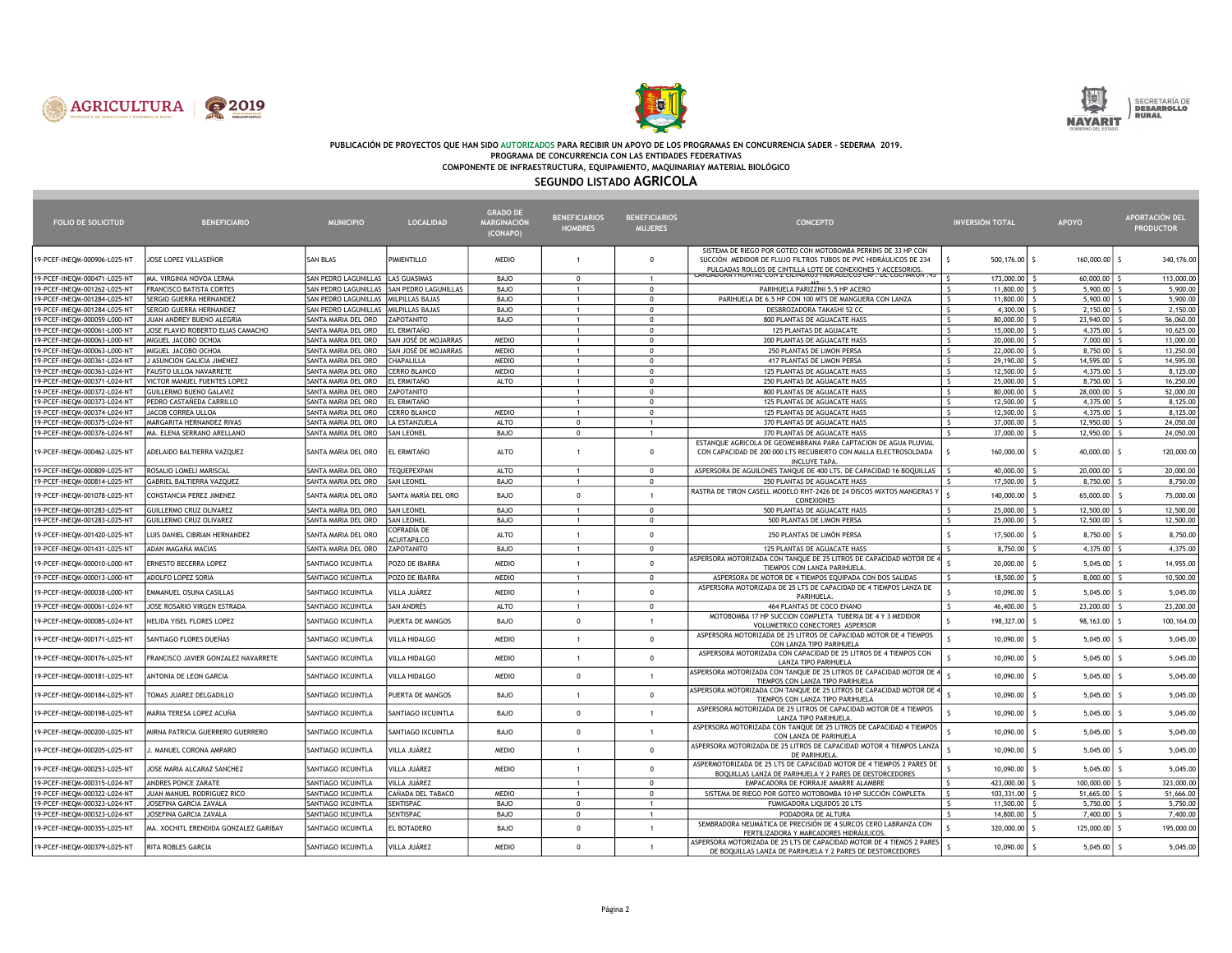





# PUBLICACIÓN DE PROYECTOS QUE HAN SIDO AUTORIZADOS PARA RECIBIR UN APOYO DE LOS PROGRAMAS EN CONCURRENCIA SADER - SEDERMA 2019.<br>PROGRAMA DE CONCURRENCIA CON LAS ENTIDADES FEDERATIVAS

COMPONENTE DE INFRAESTRUCTURA, EQUIPAMIENTO, MAQUINARIAY MATERIAL BIOLÓGICO

### SEGUNDO LISTADO AGRICOLA

| <b>FOLIO DE SOLICITUD</b>                                    | <b>BENEFICIARIO</b>                                 | <b>MUNICIPIO</b>                           | <b>LOCALIDAD</b>                          | <b>GRADO DE</b><br>MARGINACIÓN<br>(CONAPO) | <b>BENEFICIARIOS</b><br><b>HOMBRES</b> | <b>BENEFICIARIOS</b><br><b>MUJERES</b> | <b>CONCEPTO</b>                                                                                                                                                                                   | <b>INVERSIÓN TOTAL</b>                    | <b>APOYO</b>                                 | <b>APORTACIÓN DEL</b><br><b>PRODUCTOR</b> |
|--------------------------------------------------------------|-----------------------------------------------------|--------------------------------------------|-------------------------------------------|--------------------------------------------|----------------------------------------|----------------------------------------|---------------------------------------------------------------------------------------------------------------------------------------------------------------------------------------------------|-------------------------------------------|----------------------------------------------|-------------------------------------------|
| 19-PCEF-INEQM-000906-L025-NT                                 | JOSE LOPEZ VILLASEÑOR                               | SAN BLAS                                   | PIMIENTILLO                               | <b>MEDIO</b>                               | $\overline{1}$                         | $\Omega$                               | SISTEMA DE RIEGO POR GOTEO CON MOTOBOMBA PERKINS DE 33 HP CON<br>SUCCIÓN MEDIDOR DE FLUJO FILTROS TUBOS DE PVC HIDRAULICOS DE 234<br>PULGADAS ROLLOS DE CINTILLA LOTE DE CONEXIONES Y ACCESORIOS. | 500,176.00 \$                             | 160,000.00 \$                                | 340,176.00                                |
| 19-PCEF-INEQM-000471-L025-NT                                 | MA. VIRGINIA NOVOA LERMA                            | SAN PEDRO LAGUNILLAS   LAS GUASIMAS        |                                           | BAJO                                       | $\mathbf 0$                            | $\overline{1}$                         | <b>ARGADORA FRONTAE CON Z CIENDROS HIDRAOEICOS CAP. DE COCHARON .45</b>                                                                                                                           | 173,000.00                                | 60,000.00                                    | 113,000.00                                |
| 19-PCEF-INEQM-001262-L025-NT                                 | FRANCISCO BATISTA CORTES                            |                                            | SAN PEDRO LAGUNILLAS SAN PEDRO LAGUNILLAS | <b>BAJO</b>                                | $\mathbf{1}$                           | $\Omega$                               | PARIHUELA PARIZZINI 5.5 HP ACERO                                                                                                                                                                  | $\mathsf{S}$<br>$11,800.00$ \$            | $5,900.00$ \$                                | 5,900.00                                  |
| 19-PCEF-INEQM-001284-L025-NT                                 | SERGIO GUERRA HERNANDEZ                             | SAN PEDRO LAGUNILLAS MILPILLAS BAJAS       |                                           | BAJO                                       | $\mathbf{1}$                           | $\Omega$                               | PARIHUELA DE 6.5 HP CON 100 MTS DE MANGUERA CON LANZA                                                                                                                                             | $\mathsf{S}$<br>11,800,00 S               | $5.900.00$ S                                 | 5,900.00                                  |
| 19-PCEF-INEQM-001284-L025-NT                                 | SERGIO GUERRA HERNANDEZ                             | SAN PEDRO LAGUNILLAS   MILPILLAS BAJAS     |                                           | <b>BAJO</b>                                | $\mathbf{1}$                           | $\mathbf{0}$                           | DESBROZADORA TAKASHI 52 CC                                                                                                                                                                        | 4,300.00 $\vert$ \$<br>-S                 | $2,150.00$ \$                                | 2,150.00                                  |
| 19-PCEF-INEQM-000059-L000-NT                                 | JUAN ANDREY BUENO ALEGRIA                           | SANTA MARIA DEL ORO                        | ZAPOTANITO                                | <b>BAJO</b>                                | $\mathbf{1}$                           | $\Omega$                               | 800 PLANTAS DE AGUACATE HASS                                                                                                                                                                      | $\sim$<br>80,000.00 \$                    | 23,940.00 \$                                 | 56,060.00                                 |
| 19-PCEF-INEOM-000061-L000-NT                                 | JOSE FLAVIO ROBERTO ELIAS CAMACHO                   | SANTA MARIA DEL ORO                        | EL ERMITAÑO                               |                                            | $\mathbf{1}$                           | $\Omega$                               | 125 PLANTAS DE AGUACATE                                                                                                                                                                           | $\zeta$<br>15,000.00 \$                   | $4,375.00$ \$                                | 10,625.00                                 |
| 19-PCEF-INEQM-000063-L000-NT                                 | MIGUEL JACOBO OCHOA                                 | SANTA MARIA DEL ORO                        | SAN JOSÉ DE MOJARRAS                      | <b>MEDIO</b>                               | $\mathbf{1}$                           | $\Omega$                               | 200 PLANTAS DE AGUACATE HASS                                                                                                                                                                      | l s<br>20,000.00                          | 7,000.00                                     | 13,000.00                                 |
| 19-PCEF-INEQM-000063-L000-NT                                 | MIGUEL JACOBO OCHOA                                 | SANTA MARIA DEL ORO                        | SAN JOSÉ DE MOJARRAS                      | <b>MEDIO</b>                               | $\mathbf{1}$                           | $\overline{0}$                         | 250 PLANTAS DE LIMON PERSA                                                                                                                                                                        | ls.<br>22,000.00 S                        | $8,750.00$ \$                                | 13,250.00                                 |
| 19-PCEF-INEQM-000361-L024-NT                                 | J ASUNCION GALICIA JIMENEZ                          | SANTA MARIA DEL ORO                        | CHAPALILLA                                | <b>MEDIO</b>                               | $\mathbf{1}$                           | $\Omega$                               | 417 PLANTAS DE LIMON PERSA                                                                                                                                                                        | $\mathsf{S}$<br>$29,190.00$ \$            | 14,595.00 \$                                 | 14,595.00                                 |
| 19-PCEF-INEQM-000363-L024-NT                                 | <b>FAUSTO ULLOA NAVARRETE</b>                       | SANTA MARIA DEL ORO                        | <b>CERRO BLANCO</b>                       | <b>MEDIO</b>                               | $\overline{1}$                         | $\overline{0}$                         | 125 PLANTAS DE AGUACATE HASS                                                                                                                                                                      | $\sim$<br>12,500,00 S                     | $4.375.00$ S                                 | 8,125.00                                  |
| 19-PCEF-INEQM-000371-L024-NT                                 | VICTOR MANUEL FUENTES LOPEZ                         | SANTA MARIA DEL ORO                        | EL ERMITAÑO                               | ALTO                                       | $\mathbf{1}$<br>$\mathbf{1}$           | $\Omega$<br>$\Omega$                   | 250 PLANTAS DE AGUACATE HASS                                                                                                                                                                      | $\sim$<br>25,000.00 \$                    | 8,750.00                                     | 16,250.00<br>52,000.00                    |
| 19-PCEF-INEQM-000372-L024-NT<br>19-PCEF-INEOM-000373-L024-NT | GUILLERMO BUENO GALAVIZ<br>PEDRO CASTAÑEDA CARRILLO | SANTA MARIA DEL ORO<br>SANTA MARIA DEL ORO | ZAPOTANITO<br>EL ERMITAÑO                 |                                            | $\mathbf{1}$                           | $\Omega$                               | 800 PLANTAS DE AGUACATE HASS<br>125 PLANTAS DE AGUACATE HASS                                                                                                                                      | 80,000.00<br>$\sim$<br>ls.<br>12,500.00 S | $28,000.00$ $\mid$ \$<br>4,375.00 $\vert$ \$ | 8,125.00                                  |
| 19-PCEF-INEQM-000374-L024-NT                                 | JACOB CORREA ULLOA                                  | SANTA MARIA DEL ORO                        | <b>CERRO BLANCO</b>                       | <b>MEDIO</b>                               | $\mathbf{1}$                           | $\Omega$                               | 125 PLANTAS DE AGUACATE HASS                                                                                                                                                                      | $\sim$<br>$12,500.00$ $\frac{1}{5}$       | $4,375.00$ \$                                | 8,125.00                                  |
| 19-PCEF-INEQM-000375-L024-NT                                 | MARGARITA HERNANDEZ RIVAS                           | SANTA MARIA DEL ORO                        | LA ESTANZUELA                             | ALTO                                       | $^{\circ}$                             | $\mathbf{1}$                           | 370 PLANTAS DE AGUACATE HASS                                                                                                                                                                      | $\sim$<br>37,000.00 \$                    | 12,950.00 \$                                 | 24,050.00                                 |
| 19-PCEF-INEQM-000376-L024-NT                                 | MA. ELENA SERRANO ARELLANO                          | SANTA MARIA DEL ORO                        | <b>SAN LEONEL</b>                         | <b>BAJO</b>                                | $\mathbf 0$                            |                                        | 370 PLANTAS DE AGUACATE HASS                                                                                                                                                                      | $\hat{\varsigma}$<br>37,000.00            | 12,950.00                                    | 24,050.00                                 |
| 19-PCEF-INEQM-000462-L025-NT                                 | ADELAIDO BALTIERRA VAZQUEZ                          | SANTA MARIA DEL ORO                        | EL ERMITAÑO                               | ALTO                                       | $\overline{1}$                         | $\Omega$                               | ESTANOUE AGRICOLA DE GEOMEMBRANA PARA CAPTACION DE AGUA PLUVIAL<br>CON CAPACIDAD DE 200 000 LTS RECUBIERTO CON MALLA ELECTROSOLDADA<br><b>INCLUYE TAPA</b>                                        | 160,000.00 \$<br>-S                       | $40,000.00$ \$                               | 120,000.00                                |
| 19-PCEF-INEQM-000809-L025-NT                                 | ROSALIO LOMELI MARISCAL                             | SANTA MARIA DEL ORO                        | <b>TEQUEPEXPAN</b>                        | <b>ALTO</b>                                | $\overline{1}$                         | $\overline{0}$                         | ASPERSORA DE AGUILONES TANQUE DE 400 LTS. DE CAPACIDAD 16 BOQUILLAS                                                                                                                               | 40,000.00                                 | 20,000.00                                    | 20,000.00                                 |
| 19-PCEF-INEQM-000814-L025-NT                                 | GABRIEL BALTIERRA VAZQUEZ                           | SANTA MARIA DEL ORO                        | <b>SAN LEONEL</b>                         | <b>BAJO</b>                                | $\mathbf{1}$                           | $\mathbf 0$                            | 250 PLANTAS DE AGUACATE HASS                                                                                                                                                                      | 17,500.00                                 | 8,750.00                                     | 8,750.00                                  |
| 19-PCEF-INEQM-001078-L025-NT                                 | CONSTANCIA PEREZ JIMENEZ                            | SANTA MARIA DEL ORO                        | SANTA MARÍA DEL ORO                       | BAJO                                       | $^{\circ}$                             | $\mathbf{1}$                           | RASTRA DE TIRON CASELL MODELO RHT-2426 DE 24 DISCOS MIXTOS MANGERAS Y<br>CONEXIONES                                                                                                               | 140,000.00 \$                             | 65,000.00                                    | 75,000.00                                 |
| 19-PCEF-INEQM-001283-L025-NT                                 | <b>GUILLERMO CRUZ OLIVAREZ</b>                      | SANTA MARIA DEL ORO                        | <b>SAN LEONEL</b>                         | BAJO                                       | $\overline{1}$                         | $\overline{0}$                         | 500 PLANTAS DE AGUACATE HASS                                                                                                                                                                      | S.<br>25,000.00                           | 12,500.00                                    | 12,500.00                                 |
| 19-PCEF-INEQM-001283-L025-NT                                 | <b>GUILLERMO CRUZ OLIVAREZ</b>                      | SANTA MARIA DEL ORO                        | <b>SAN LEONEL</b>                         | BAJO                                       | $\mathbf{1}$                           | $\mathbf{0}$                           | 500 PLANTAS DE LIMON PERSA                                                                                                                                                                        | S.<br>25,000.00                           | 12,500.00                                    | 12,500.00                                 |
| 19-PCEF-INEQM-001420-L025-NT                                 | LUIS DANIEL CIBRIAN HERNANDEZ                       | SANTA MARIA DEL ORO                        | COFRADÍA DE<br><b>ACUITAPILCO</b>         | ALTO                                       | $\mathbf{1}$                           | $\Omega$                               | 250 PLANTAS DE LIMÓN PERSA                                                                                                                                                                        | 17,500.00 \$                              | $8,750.00$ \$                                | 8,750.00                                  |
| 19-PCEF-INEQM-001431-L025-NT                                 | ADAN MAGAÑA MACIAS                                  | SANTA MARIA DEL ORO                        | ZAPOTANITO                                | BAJO                                       | $\overline{1}$                         | $\overline{0}$                         | 125 PLANTAS DE AGUACATE HASS                                                                                                                                                                      | $\hat{\zeta}$<br>8,750.00                 | 4,375.00                                     | 4,375.00                                  |
| 19-PCEF-INEQM-000010-L000-NT                                 | ERNESTO BECERRA LOPEZ                               | SANTIAGO IXCUINTLA                         | POZO DE IBARRA                            | <b>MEDIO</b>                               | $\overline{1}$                         | $\mathbf{0}$                           | ASPERSORA MOTORIZADA CON TANQUE DE 25 LITROS DE CAPACIDAD MOTOR DE 4<br>TIEMPOS CON LANZA PARIHUELA                                                                                               | $20,000.00$ \$                            | $5,045.00$ \$                                | 14,955.00                                 |
| 19-PCEF-INEQM-000013-L000-NT                                 | ADOLFO LOPEZ SORIA                                  | SANTIAGO IXCUINTLA                         | POZO DE IBARRA                            | <b>MEDIO</b>                               | $\mathbf{1}$                           | $\mathbf 0$                            | ASPERSORA DE MOTOR DE 4 TIEMPOS EQUIPADA CON DOS SALIDAS                                                                                                                                          | 18,500.00 \$                              | 8,000.00                                     | 10,500.00                                 |
| 19-PCEF-INEQM-000038-L000-NT                                 | EMMANUEL OSUNA CASILLAS                             | SANTIAGO IXCUINTLA                         | VILLA JUÁREZ                              | <b>MEDIO</b>                               | $\mathbf{1}$                           | $\Omega$                               | ASPERSORA MOTORIZADA DE 25 LTS DE CAPACIDAD DE 4 TIEMPOS LANZA DE<br>PARIHUELA                                                                                                                    | 10,090.00                                 | 5,045.00                                     | 5,045.00                                  |
| 19-PCEF-INEQM-000061-L024-NT                                 | JOSE ROSARIO VIRGEN ESTRADA                         | SANTIAGO IXCUINTLA                         | <b>SAN ANDRÉS</b>                         | <b>ALTO</b>                                | $\mathbf{1}$                           | $\overline{0}$                         | 464 PLANTAS DE COCO ENANO                                                                                                                                                                         | $\zeta$<br>46,400,00 S                    | 23,200.00 \$                                 | 23,200.00                                 |
| 19-PCEF-INEQM-000085-L024-NT                                 | NELIDA YISEL FLORES LOPEZ                           | SANTIAGO IXCUINTLA                         | PUERTA DE MANGOS                          | BAJO                                       | $\Omega$                               | $\mathbf{1}$                           | MOTOBOMBA 17 HP SUCCION COMPLETA TUBERIA DE 4 Y 3 MEDIDOR<br>VOLUMETRICO CONECTORES ASPERSOR                                                                                                      | 198,327.00 \$                             | $98, 163.00$ \$                              | 100,164.00                                |
| 19-PCEF-INEQM-000171-L025-NT                                 | SANTIAGO FLORES DUEÑAS                              | SANTIAGO IXCUINTLA                         | <b>VILLA HIDALGO</b>                      | MEDIO                                      |                                        | $\Omega$                               | ASPERSORA MOTORIZADA DE 25 LITROS DE CAPACIDAD MOTOR DE 4 TIEMPOS<br>CON LANZA TIPO PARIHUELA                                                                                                     | 10,090.00                                 | 5,045.00                                     | 5,045.00                                  |
| 19-PCEF-INEQM-000176-L025-NT                                 | FRANCISCO JAVIER GONZALEZ NAVARRETE                 | SANTIAGO IXCUINTLA                         | VILLA HIDALGO                             | <b>MEDIO</b>                               | $\overline{1}$                         | $\Omega$                               | ASPERSORA MOTORIZADA CON CAPACIDAD DE 25 LITROS DE 4 TIEMPOS CON<br><b>LANZA TIPO PARIHUELA</b>                                                                                                   | $10,090.00$   \$                          | 5,045.00                                     | 5,045.00                                  |
| 19-PCEF-INEQM-000181-L025-NT                                 | ANTONIA DE LEON GARCIA                              | SANTIAGO IXCUINTLA                         | <b>VILLA HIDALGO</b>                      | <b>MEDIO</b>                               | $\mathbf 0$                            | $\mathbf{1}$                           | ASPERSORA MOTORIZADA CON TANQUE DE 25 LITROS DE CAPACIDAD MOTOR DE 4<br>TIEMPOS CON LANZA TIPO PARIHUELA                                                                                          | $10,090.00$ \$                            | $5,045.00$ \$                                | 5,045.00                                  |
| 19-PCEF-INEQM-000184-L025-NT                                 | TOMAS JUAREZ DELGADILLO                             | SANTIAGO IXCUINTLA                         | PUERTA DE MANGOS                          | <b>BAJO</b>                                | $\mathbf{1}$                           | $\Omega$                               | ASPERSORA MOTORIZADA CON TANQUE DE 25 LITROS DE CAPACIDAD MOTOR DE 4<br>TIEMPOS CON LANZA TIPO PARIHUELA                                                                                          | 10,090.00                                 | 5,045.00                                     | 5,045.00                                  |
| 19-PCEF-INEQM-000198-L025-NT                                 | WARIA TERESA LOPEZ ACUÑA                            | SANTIAGO IXCUINTLA                         | SANTIAGO IXCUINTLA                        | BAJO                                       | $^{\circ}$                             | -1                                     | ASPERSORA MOTORIZADA DE 25 LITROS DE CAPACIDAD MOTOR DE 4 TIEMPOS<br>LANZA TIPO PARIHUELA                                                                                                         | 10,090.00                                 | 5,045.00                                     | 5,045.00                                  |
| 19-PCEF-INEQM-000200-L025-NT                                 | <b>MIRNA PATRICIA GUERRERO GUERRERO</b>             | SANTIAGO IXCUINTLA                         | SANTIAGO IXCUINTLA                        | BAJO                                       | $\mathbf 0$                            | $\mathbf{1}$                           | ASPERSORA MOTORIZADA CON TANQUE DE 25 LITROS DE CAPACIDAD 4 TIEMPOS<br>CON LANZA DE PARIHUELA                                                                                                     | 10,090.00                                 | 5,045.00                                     | 5,045.00                                  |
| 19-PCEF-INEQM-000205-L025-NT                                 | . MANUEL CORONA AMPARO                              | SANTIAGO IXCUINTLA                         | VILLA JUÁREZ                              | <b>MEDIO</b>                               | $\overline{1}$                         | $\Omega$                               | ASPERSORA MOTORIZADA DE 25 LITROS DE CAPACIDAD MOTOR 4 TIEMPOS LANZA<br>DE PARIHUELA                                                                                                              | $10,090.00$ \$                            | $5,045.00$ \$                                | 5,045.00                                  |
| 19-PCEF-INEQM-000253-L025-NT                                 | JOSE MARIA ALCARAZ SANCHEZ                          | SANTIAGO IXCUINTLA                         | VILLA JUÁREZ                              | <b>MEDIO</b>                               | $\overline{1}$                         | $\mathbf 0$                            | ASPERMOTORIZADA DE 25 LTS DE CAPACIDAD MOTOR DE 4 TIEMPOS 2 PARES DE<br>BOOUILLAS LANZA DE PARIHUELA Y 2 PARES DE DESTORCEDORES                                                                   | $10,090.00$ \$                            | $5,045.00$ \$                                | 5,045.00                                  |
| 19-PCEF-INEQM-000315-L024-NT                                 | ANDRES PONCE ZARATE                                 | SANTIAGO IXCUINTLA                         | VILLA JUÁREZ                              |                                            | $\mathbf{1}$                           | $\Omega$                               | EMPACADORA DE FORRAJE AMARRE ALAMBRE                                                                                                                                                              | 423,000.00                                | 100,000.00                                   | 323,000.00                                |
| 19-PCEF-INEQM-000322-L024-NT                                 | JUAN MANUEL RODRIGUEZ RICO                          | SANTIAGO IXCUINTLA                         | CAÑADA DEL TABACO                         | <b>MEDIO</b>                               | $\overline{1}$                         | $\mathbf{0}$                           | SISTEMA DE RIEGO POR GOTEO MOTOBOMBA 10 HP SUCCIÓN COMPLETA                                                                                                                                       | 103,331.00 \$<br>- S                      | $51,665.00$ \$                               | 51,666.00                                 |
| 19-PCEF-INEQM-000323-L024-NT                                 | JOSEFINA GARCIA ZAVALA                              | SANTIAGO IXCUINTLA                         | SENTISPAC                                 | <b>BAJO</b>                                | $\mathbf 0$                            |                                        | FUMIGADORA LIQUIDOS 20 LTS                                                                                                                                                                        | $\zeta$<br>11,500.00                      | 5,750.00                                     | 5,750.00                                  |
| 19-PCEF-INEQM-000323-L024-NT                                 | JOSEFINA GARCIA ZAVALA                              | SANTIAGO IXCUINTLA                         | <b>SENTISPAC</b>                          | BAJO                                       | $\Omega$                               | $\mathbf{1}$                           | PODADORA DE ALTURA                                                                                                                                                                                | 14,800.00                                 | 7,400.00                                     | 7,400.00                                  |
| 19-PCEF-INEQM-000355-L025-NT                                 | MA. XOCHITL ERENDIDA GONZALEZ GARIBAY               | SANTIAGO IXCUINTLA                         | EL BOTADERO                               | <b>BAJO</b>                                | $\mathbf 0$                            | $\mathbf{1}$                           | SEMBRADORA NEUMÁTICA DE PRECISIÓN DE 4 SURCOS CERO LABRANZA CON<br>FERTILIZADORA Y MARCADORES HIDRÁULICOS.                                                                                        | 320,000.00 \$                             | 125,000.00 \$                                | 195,000.00                                |
| 19-PCEF-INEQM-000379-L025-NT                                 | <b>RITA ROBLES GARCIA</b>                           | SANTIAGO IXCUINTLA                         | VILLA JUÁREZ                              | <b>MEDIO</b>                               | $\Omega$                               | $\mathbf{1}$                           | ASPERSORA MOTORIZADA DE 25 LTS DE CAPACIDAD MOTOR DE 4 TIEMOS 2 PARES<br>DE BOQUILLAS LANZA DE PARIHUELA Y 2 PARES DE DESTORCEDORES                                                               | $10,090.00$ $\frac{1}{5}$                 | $5,045.00$ \$                                | 5,045.00                                  |